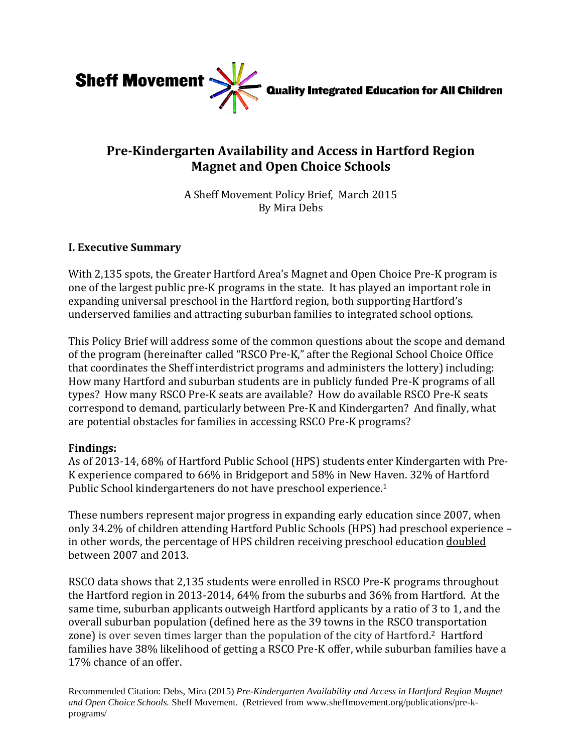

# **Pre-Kindergarten Availability and Access in Hartford Region Magnet and Open Choice Schools**

A Sheff Movement Policy Brief, March 2015 By Mira Debs

# **I. Executive Summary**

With 2,135 spots, the Greater Hartford Area's Magnet and Open Choice Pre-K program is one of the largest public pre-K programs in the state. It has played an important role in expanding universal preschool in the Hartford region, both supporting Hartford's underserved families and attracting suburban families to integrated school options.

This Policy Brief will address some of the common questions about the scope and demand of the program (hereinafter called "RSCO Pre-K," after the Regional School Choice Office that coordinates the Sheff interdistrict programs and administers the lottery) including: How many Hartford and suburban students are in publicly funded Pre-K programs of all types? How many RSCO Pre-K seats are available? How do available RSCO Pre-K seats correspond to demand, particularly between Pre-K and Kindergarten? And finally, what are potential obstacles for families in accessing RSCO Pre-K programs?

# **Findings:**

As of 2013-14, 68% of Hartford Public School (HPS) students enter Kindergarten with Pre-K experience compared to 66% in Bridgeport and 58% in New Haven. 32% of Hartford Public School kindergarteners do not have preschool experience.<sup>1</sup>

These numbers represent major progress in expanding early education since 2007, when only 34.2% of children attending Hartford Public Schools (HPS) had preschool experience – in other words, the percentage of HPS children receiving preschool education doubled between 2007 and 2013.

RSCO data shows that 2,135 students were enrolled in RSCO Pre-K programs throughout the Hartford region in 2013-2014, 64% from the suburbs and 36% from Hartford. At the same time, suburban applicants outweigh Hartford applicants by a ratio of 3 to 1, and the overall suburban population (defined here as the 39 towns in the RSCO transportation zone) is over seven times larger than the population of the city of Hartford. <sup>2</sup> Hartford families have 38% likelihood of getting a RSCO Pre-K offer, while suburban families have a 17% chance of an offer.

Recommended Citation: Debs, Mira (2015) *Pre-Kindergarten Availability and Access in Hartford Region Magnet and Open Choice Schools.* Sheff Movement. (Retrieved from www.sheffmovement.org/publications/pre-kprograms/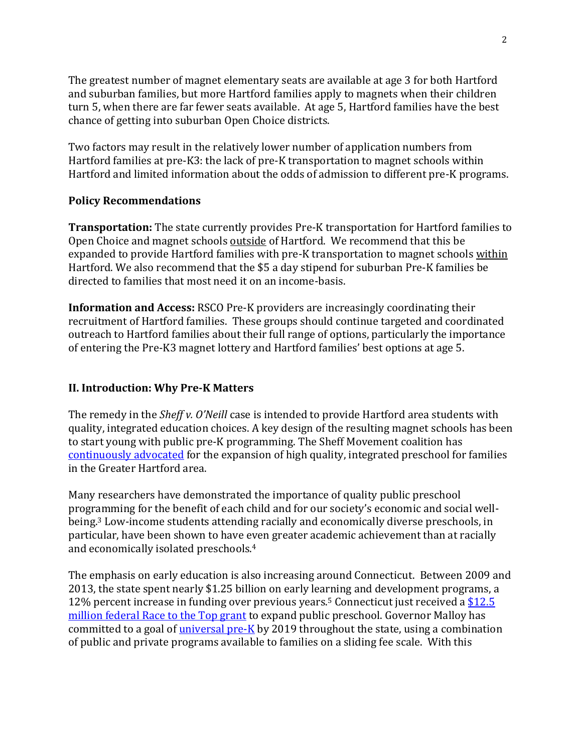The greatest number of magnet elementary seats are available at age 3 for both Hartford and suburban families, but more Hartford families apply to magnets when their children turn 5, when there are far fewer seats available. At age 5, Hartford families have the best chance of getting into suburban Open Choice districts.

Two factors may result in the relatively lower number of application numbers from Hartford families at pre-K3: the lack of pre-K transportation to magnet schools within Hartford and limited information about the odds of admission to different pre-K programs.

# **Policy Recommendations**

**Transportation:** The state currently provides Pre-K transportation for Hartford families to Open Choice and magnet schools outside of Hartford. We recommend that this be expanded to provide Hartford families with pre-K transportation to magnet schools within Hartford. We also recommend that the \$5 a day stipend for suburban Pre-K families be directed to families that most need it on an income-basis.

**Information and Access:** RSCO Pre-K providers are increasingly coordinating their recruitment of Hartford families. These groups should continue targeted and coordinated outreach to Hartford families about their full range of options, particularly the importance of entering the Pre-K3 magnet lottery and Hartford families' best options at age 5.

# **II. Introduction: Why Pre-K Matters**

The remedy in the *Sheff v. O'Neill* case is intended to provide Hartford area students with quality, integrated education choices. A key design of the resulting magnet schools has been to start young with public pre-K programming. The Sheff Movement coalition has [continuously advocated](http://sheffmovement.org/wp-content/uploads/2014/04/2012_DiverseEarlyEducation_SMC-Policy-Brief.pdf) for the expansion of high quality, integrated preschool for families in the Greater Hartford area.

Many researchers have demonstrated the importance of quality public preschool programming for the benefit of each child and for our society's economic and social wellbeing.<sup>3</sup> Low-income students attending racially and economically diverse preschools, in particular, have been shown to have even greater academic achievement than at racially and economically isolated preschools.<sup>4</sup>

The emphasis on early education is also increasing around Connecticut. Between 2009 and 2013, the state spent nearly \$1.25 billion on early learning and development programs, a 12% percent increase in funding over previous years.<sup>5</sup> Connecticut just received a [\\$12.5](http://www.courant.com/education/hc-race-to-the-top-1211-20141210-story.html?utm_source=CTNewsJunkie.com&utm_campaign=f48a672b2f-MCP_2014&utm_medium=email&utm_term=0_a493d2308d-f48a672b2f-92885273)  [million federal Race to the Top grant](http://www.courant.com/education/hc-race-to-the-top-1211-20141210-story.html?utm_source=CTNewsJunkie.com&utm_campaign=f48a672b2f-MCP_2014&utm_medium=email&utm_term=0_a493d2308d-f48a672b2f-92885273) to expand public preschool. Governor Malloy has committed to a goal of [universal pre-K](http://www.governor.ct.gov/malloy/cwp/view.asp?A=4010&Q=539536) by 2019 throughout the state, using a combination of public and private programs available to families on a sliding fee scale. With this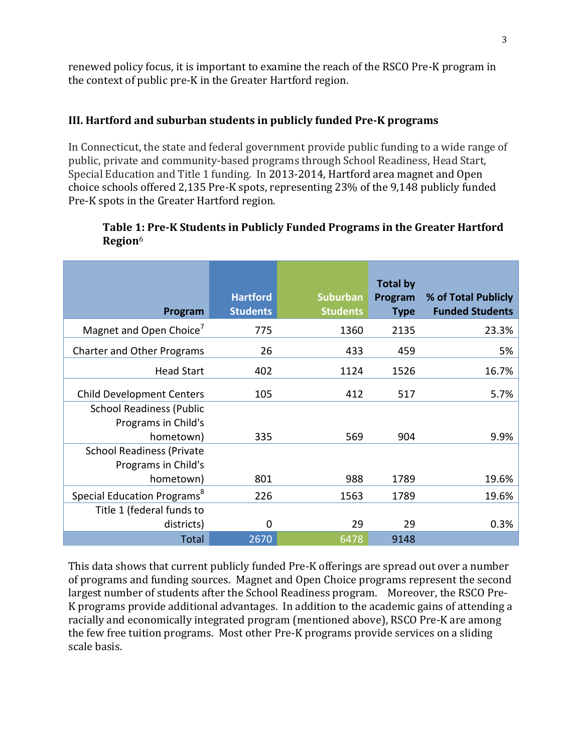renewed policy focus, it is important to examine the reach of the RSCO Pre-K program in the context of public pre-K in the Greater Hartford region.

# **III. Hartford and suburban students in publicly funded Pre-K programs**

In Connecticut, the state and federal government provide public funding to a wide range of public, private and community-based programs through School Readiness, Head Start, Special Education and Title 1 funding. In 2013-2014, Hartford area magnet and Open choice schools offered 2,135 Pre-K spots, representing 23% of the 9,148 publicly funded Pre-K spots in the Greater Hartford region.

# **Table 1: Pre-K Students in Publicly Funded Programs in the Greater Hartford Region**<sup>6</sup>

| Program                                                 | <b>Hartford</b><br><b>Students</b> | <b>Suburban</b><br><b>Students</b> | <b>Total by</b><br>Program<br><b>Type</b> | % of Total Publicly<br><b>Funded Students</b> |
|---------------------------------------------------------|------------------------------------|------------------------------------|-------------------------------------------|-----------------------------------------------|
| Magnet and Open Choice <sup>7</sup>                     | 775                                | 1360                               | 2135                                      | 23.3%                                         |
| <b>Charter and Other Programs</b>                       | 26                                 | 433                                | 459                                       | 5%                                            |
| <b>Head Start</b>                                       | 402                                | 1124                               | 1526                                      | 16.7%                                         |
| <b>Child Development Centers</b>                        | 105                                | 412                                | 517                                       | 5.7%                                          |
| <b>School Readiness (Public</b><br>Programs in Child's  |                                    |                                    |                                           |                                               |
| hometown)                                               | 335                                | 569                                | 904                                       | 9.9%                                          |
| <b>School Readiness (Private</b><br>Programs in Child's |                                    |                                    |                                           |                                               |
| hometown)                                               | 801                                | 988                                | 1789                                      | 19.6%                                         |
| Special Education Programs <sup>8</sup>                 | 226                                | 1563                               | 1789                                      | 19.6%                                         |
| Title 1 (federal funds to<br>districts)                 | $\mathbf 0$                        | 29                                 | 29                                        | 0.3%                                          |
| <b>Total</b>                                            | 2670                               | 6478                               | 9148                                      |                                               |

This data shows that current publicly funded Pre-K offerings are spread out over a number of programs and funding sources. Magnet and Open Choice programs represent the second largest number of students after the School Readiness program. Moreover, the RSCO Pre-K programs provide additional advantages. In addition to the academic gains of attending a racially and economically integrated program (mentioned above), RSCO Pre-K are among the few free tuition programs. Most other Pre-K programs provide services on a sliding scale basis.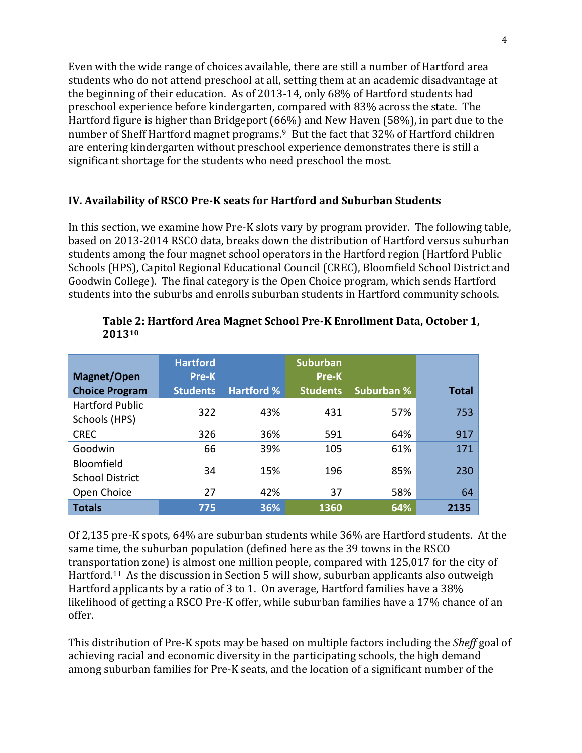Even with the wide range of choices available, there are still a number of Hartford area students who do not attend preschool at all, setting them at an academic disadvantage at the beginning of their education. As of 2013-14, only 68% of Hartford students had preschool experience before kindergarten, compared with 83% across the state. The Hartford figure is higher than Bridgeport (66%) and New Haven (58%), in part due to the number of Sheff Hartford magnet programs.<sup>9</sup> But the fact that 32% of Hartford children are entering kindergarten without preschool experience demonstrates there is still a significant shortage for the students who need preschool the most.

# **IV. Availability of RSCO Pre-K seats for Hartford and Suburban Students**

In this section, we examine how Pre-K slots vary by program provider. The following table, based on 2013-2014 RSCO data, breaks down the distribution of Hartford versus suburban students among the four magnet school operators in the Hartford region (Hartford Public Schools (HPS), Capitol Regional Educational Council (CREC), Bloomfield School District and Goodwin College). The final category is the Open Choice program, which sends Hartford students into the suburbs and enrolls suburban students in Hartford community schools.

|                                         | <b>Hartford</b> |                   | <b>Suburban</b> |                   |              |
|-----------------------------------------|-----------------|-------------------|-----------------|-------------------|--------------|
| Magnet/Open                             | Pre-K           |                   | <b>Pre-K</b>    |                   |              |
| <b>Choice Program</b>                   | <b>Students</b> | <b>Hartford %</b> | <b>Students</b> | <b>Suburban %</b> | <b>Total</b> |
| <b>Hartford Public</b><br>Schools (HPS) | 322             | 43%               | 431             | 57%               | 753          |
| <b>CREC</b>                             | 326             | 36%               | 591             | 64%               | 917          |
| Goodwin                                 | 66              | 39%               | 105             | 61%               | 171          |
| Bloomfield<br><b>School District</b>    | 34              | 15%               | 196             | 85%               | 230          |
| Open Choice                             | 27              | 42%               | 37              | 58%               | 64           |
| <b>Totals</b>                           | 775             | 36%               | 1360            | 64%               | 2135         |

#### **Table 2: Hartford Area Magnet School Pre-K Enrollment Data, October 1, 2013<sup>10</sup>**

Of 2,135 pre-K spots, 64% are suburban students while 36% are Hartford students. At the same time, the suburban population (defined here as the 39 towns in the RSCO transportation zone) is almost one million people, compared with 125,017 for the city of Hartford.<sup>11</sup> As the discussion in Section 5 will show, suburban applicants also outweigh Hartford applicants by a ratio of 3 to 1. On average, Hartford families have a 38% likelihood of getting a RSCO Pre-K offer, while suburban families have a 17% chance of an offer.

This distribution of Pre-K spots may be based on multiple factors including the *Sheff* goal of achieving racial and economic diversity in the participating schools, the high demand among suburban families for Pre-K seats, and the location of a significant number of the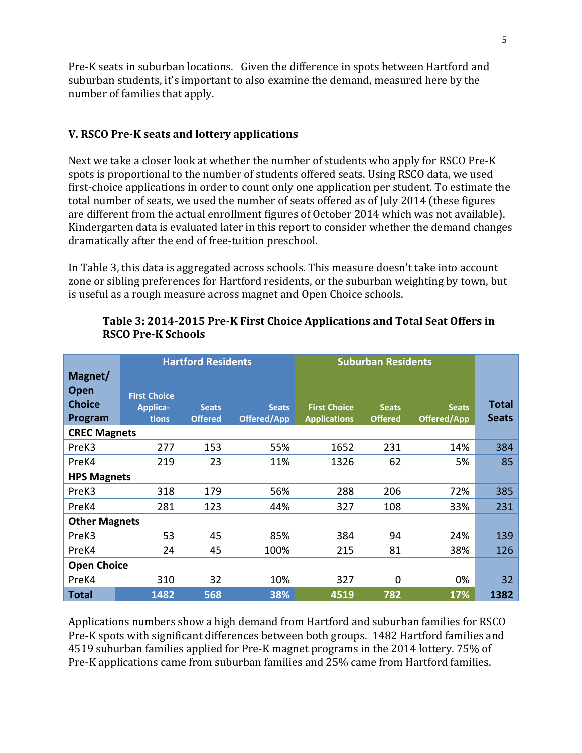Pre-K seats in suburban locations. Given the difference in spots between Hartford and suburban students, it's important to also examine the demand, measured here by the number of families that apply.

# **V. RSCO Pre-K seats and lottery applications**

Next we take a closer look at whether the number of students who apply for RSCO Pre-K spots is proportional to the number of students offered seats. Using RSCO data, we used first-choice applications in order to count only one application per student. To estimate the total number of seats, we used the number of seats offered as of July 2014 (these figures are different from the actual enrollment figures of October 2014 which was not available). Kindergarten data is evaluated later in this report to consider whether the demand changes dramatically after the end of free-tuition preschool.

In Table 3, this data is aggregated across schools. This measure doesn't take into account zone or sibling preferences for Hartford residents, or the suburban weighting by town, but is useful as a rough measure across magnet and Open Choice schools.

|                      | <b>Hartford Residents</b> |                |                    | <b>Suburban Residents</b> |                |              |              |
|----------------------|---------------------------|----------------|--------------------|---------------------------|----------------|--------------|--------------|
| Magnet/              |                           |                |                    |                           |                |              |              |
| <b>Open</b>          | <b>First Choice</b>       |                |                    |                           |                |              |              |
| <b>Choice</b>        | Applica-                  | <b>Seats</b>   | <b>Seats</b>       | <b>First Choice</b>       | <b>Seats</b>   | <b>Seats</b> | <b>Total</b> |
| Program              | tions                     | <b>Offered</b> | <b>Offered/App</b> | <b>Applications</b>       | <b>Offered</b> | Offered/App  | <b>Seats</b> |
| <b>CREC Magnets</b>  |                           |                |                    |                           |                |              |              |
| PreK3                | 277                       | 153            | 55%                | 1652                      | 231            | 14%          | 384          |
| PreK4                | 219                       | 23             | 11%                | 1326                      | 62             | 5%           | 85           |
| <b>HPS Magnets</b>   |                           |                |                    |                           |                |              |              |
| PreK3                | 318                       | 179            | 56%                | 288                       | 206            | 72%          | 385          |
| PreK4                | 281                       | 123            | 44%                | 327                       | 108            | 33%          | 231          |
| <b>Other Magnets</b> |                           |                |                    |                           |                |              |              |
| PreK3                | 53                        | 45             | 85%                | 384                       | 94             | 24%          | 139          |
| PreK4                | 24                        | 45             | 100%               | 215                       | 81             | 38%          | 126          |
| <b>Open Choice</b>   |                           |                |                    |                           |                |              |              |
| PreK4                | 310                       | 32             | 10%                | 327                       | $\mathbf{0}$   | 0%           | 32           |
| <b>Total</b>         | 1482                      | 568            | 38%                | 4519                      | 782            | 17%          | 1382         |

#### **Table 3: 2014-2015 Pre-K First Choice Applications and Total Seat Offers in RSCO Pre-K Schools**

Applications numbers show a high demand from Hartford and suburban families for RSCO Pre-K spots with significant differences between both groups. 1482 Hartford families and 4519 suburban families applied for Pre-K magnet programs in the 2014 lottery. 75% of Pre-K applications came from suburban families and 25% came from Hartford families.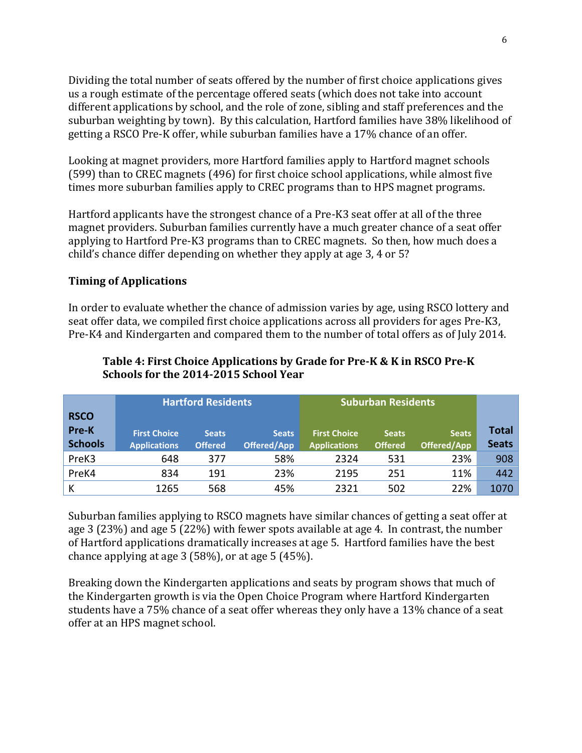Dividing the total number of seats offered by the number of first choice applications gives us a rough estimate of the percentage offered seats (which does not take into account different applications by school, and the role of zone, sibling and staff preferences and the suburban weighting by town). By this calculation, Hartford families have 38% likelihood of getting a RSCO Pre-K offer, while suburban families have a 17% chance of an offer.

Looking at magnet providers, more Hartford families apply to Hartford magnet schools (599) than to CREC magnets (496) for first choice school applications, while almost five times more suburban families apply to CREC programs than to HPS magnet programs.

Hartford applicants have the strongest chance of a Pre-K3 seat offer at all of the three magnet providers. Suburban families currently have a much greater chance of a seat offer applying to Hartford Pre-K3 programs than to CREC magnets. So then, how much does a child's chance differ depending on whether they apply at age 3, 4 or 5?

# **Timing of Applications**

In order to evaluate whether the chance of admission varies by age, using RSCO lottery and seat offer data, we compiled first choice applications across all providers for ages Pre-K3, Pre-K4 and Kindergarten and compared them to the number of total offers as of July 2014.

|                |                     | <b>Hartford Residents</b> |              | <b>Suburban Residents</b> |                |              |              |
|----------------|---------------------|---------------------------|--------------|---------------------------|----------------|--------------|--------------|
| <b>RSCO</b>    |                     |                           |              |                           |                |              |              |
| Pre-K          | <b>First Choice</b> | <b>Seats</b>              | <b>Seats</b> | <b>First Choice</b>       | <b>Seats</b>   | <b>Seats</b> | Total        |
| <b>Schools</b> | <b>Applications</b> | <b>Offered</b>            | Offered/App  | <b>Applications</b>       | <b>Offered</b> | Offered/App  | <b>Seats</b> |
| PreK3          | 648                 | 377                       | 58%          | 2324                      | 531            | 23%          | 908          |
| PreK4          | 834                 | 191                       | 23%          | 2195                      | 251            | 11%          | 442          |
| К              | 1265                | 568                       | 45%          | 2321                      | 502            | 22%          | 1070         |

# **Table 4: First Choice Applications by Grade for Pre-K & K in RSCO Pre-K Schools for the 2014-2015 School Year**

Suburban families applying to RSCO magnets have similar chances of getting a seat offer at age 3 (23%) and age 5 (22%) with fewer spots available at age 4. In contrast, the number of Hartford applications dramatically increases at age 5. Hartford families have the best chance applying at age 3 (58%), or at age 5 (45%).

Breaking down the Kindergarten applications and seats by program shows that much of the Kindergarten growth is via the Open Choice Program where Hartford Kindergarten students have a 75% chance of a seat offer whereas they only have a 13% chance of a seat offer at an HPS magnet school.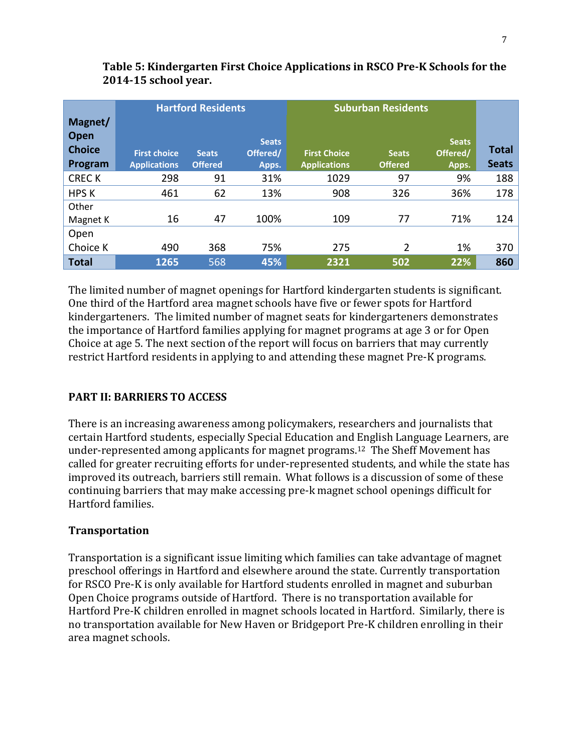|                       | <b>Hartford Residents</b>                  |                                |                   | <b>Suburban Residents</b>                  |                                |                   |              |
|-----------------------|--------------------------------------------|--------------------------------|-------------------|--------------------------------------------|--------------------------------|-------------------|--------------|
| Magnet/               |                                            |                                |                   |                                            |                                |                   |              |
| Open<br><b>Choice</b> |                                            |                                | <b>Seats</b>      |                                            |                                | <b>Seats</b>      | Total        |
| Program               | <b>First choice</b><br><b>Applications</b> | <b>Seats</b><br><b>Offered</b> | Offered/<br>Apps. | <b>First Choice</b><br><b>Applications</b> | <b>Seats</b><br><b>Offered</b> | Offered/<br>Apps. | <b>Seats</b> |
| <b>CRECK</b>          | 298                                        | 91                             | 31%               | 1029                                       | 97                             | 9%                | 188          |
| <b>HPS K</b>          | 461                                        | 62                             | 13%               | 908                                        | 326                            | 36%               | 178          |
| Other                 |                                            |                                |                   |                                            |                                |                   |              |
| Magnet K              | 16                                         | 47                             | 100%              | 109                                        | 77                             | 71%               | 124          |
| Open                  |                                            |                                |                   |                                            |                                |                   |              |
| Choice K              | 490                                        | 368                            | 75%               | 275                                        | 2                              | 1%                | 370          |
| <b>Total</b>          | 1265                                       | 568                            | 45%               | 2321                                       | 502                            | 22%               | 860          |

# **Table 5: Kindergarten First Choice Applications in RSCO Pre-K Schools for the 2014-15 school year.**

The limited number of magnet openings for Hartford kindergarten students is significant. One third of the Hartford area magnet schools have five or fewer spots for Hartford kindergarteners. The limited number of magnet seats for kindergarteners demonstrates the importance of Hartford families applying for magnet programs at age 3 or for Open Choice at age 5. The next section of the report will focus on barriers that may currently restrict Hartford residents in applying to and attending these magnet Pre-K programs.

# **PART II: BARRIERS TO ACCESS**

There is an increasing awareness among policymakers, researchers and journalists that certain Hartford students, especially Special Education and English Language Learners, are under-represented among applicants for magnet programs.12 The Sheff Movement has called for greater recruiting efforts for under-represented students, and while the state has improved its outreach, barriers still remain. What follows is a discussion of some of these continuing barriers that may make accessing pre-k magnet school openings difficult for Hartford families.

# **Transportation**

Transportation is a significant issue limiting which families can take advantage of magnet preschool offerings in Hartford and elsewhere around the state. Currently transportation for RSCO Pre-K is only available for Hartford students enrolled in magnet and suburban Open Choice programs outside of Hartford. There is no transportation available for Hartford Pre-K children enrolled in magnet schools located in Hartford. Similarly, there is no transportation available for New Haven or Bridgeport Pre-K children enrolling in their area magnet schools.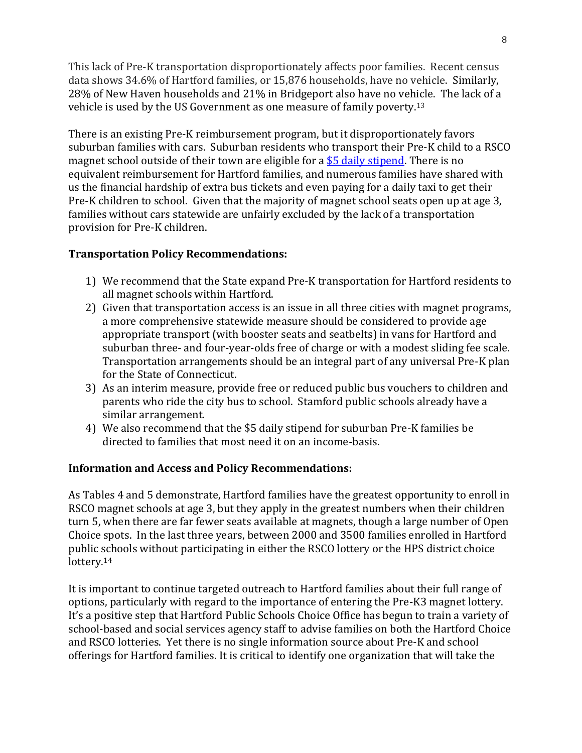This lack of Pre-K transportation disproportionately affects poor families. Recent census data shows 34.6% of Hartford families, or 15,876 households, have no vehicle. Similarly, 28% of New Haven households and 21% in Bridgeport also have no vehicle. The lack of a vehicle is used by the US Government as one measure of family poverty.<sup>13</sup>

There is an existing Pre-K reimbursement program, but it disproportionately favors suburban families with cars. Suburban residents who transport their Pre-K child to a RSCO magnet school outside of their town are eligible for a  $$5$  daily stipend. There is no equivalent reimbursement for Hartford families, and numerous families have shared with us the financial hardship of extra bus tickets and even paying for a daily taxi to get their Pre-K children to school. Given that the majority of magnet school seats open up at age 3, families without cars statewide are unfairly excluded by the lack of a transportation provision for Pre-K children.

# **Transportation Policy Recommendations:**

- 1) We recommend that the State expand Pre-K transportation for Hartford residents to all magnet schools within Hartford.
- 2) Given that transportation access is an issue in all three cities with magnet programs, a more comprehensive statewide measure should be considered to provide age appropriate transport (with booster seats and seatbelts) in vans for Hartford and suburban three- and four-year-olds free of charge or with a modest sliding fee scale. Transportation arrangements should be an integral part of any universal Pre-K plan for the State of Connecticut.
- 3) As an interim measure, provide free or reduced public bus vouchers to children and parents who ride the city bus to school. Stamford public schools already have a similar arrangement.
- 4) We also recommend that the \$5 daily stipend for suburban Pre-K families be directed to families that most need it on an income-basis.

# **Information and Access and Policy Recommendations:**

As Tables 4 and 5 demonstrate, Hartford families have the greatest opportunity to enroll in RSCO magnet schools at age 3, but they apply in the greatest numbers when their children turn 5, when there are far fewer seats available at magnets, though a large number of Open Choice spots. In the last three years, between 2000 and 3500 families enrolled in Hartford public schools without participating in either the RSCO lottery or the HPS district choice lottery.<sup>14</sup>

It is important to continue targeted outreach to Hartford families about their full range of options, particularly with regard to the importance of entering the Pre-K3 magnet lottery. It's a positive step that Hartford Public Schools Choice Office has begun to train a variety of school-based and social services agency staff to advise families on both the Hartford Choice and RSCO lotteries. Yet there is no single information source about Pre-K and school offerings for Hartford families. It is critical to identify one organization that will take the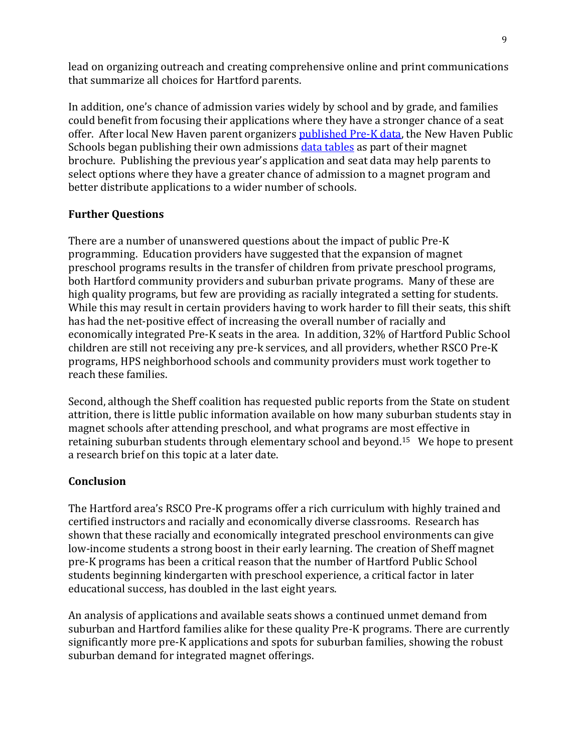lead on organizing outreach and creating comprehensive online and print communications that summarize all choices for Hartford parents.

In addition, one's chance of admission varies widely by school and by grade, and families could benefit from focusing their applications where they have a stronger chance of a seat offer. After local New Haven parent organizers [published Pre-K data,](http://kidhaven.com/wp-content/uploads/sH-guide/ParentsGuideToPreschool.html) the New Haven Public Schools began publishing their own admissions [data tables](file:///C:/Screenshot%20of%20New%20Havenâ™s%20odds.%20http/::www.newhavenmagnetschools.com:index.php:whats-the-process:2013-lottery-data-charts) as part of their magnet brochure. Publishing the previous year's application and seat data may help parents to select options where they have a greater chance of admission to a magnet program and better distribute applications to a wider number of schools.

# **Further Questions**

There are a number of unanswered questions about the impact of public Pre-K programming. Education providers have suggested that the expansion of magnet preschool programs results in the transfer of children from private preschool programs, both Hartford community providers and suburban private programs. Many of these are high quality programs, but few are providing as racially integrated a setting for students. While this may result in certain providers having to work harder to fill their seats, this shift has had the net-positive effect of increasing the overall number of racially and economically integrated Pre-K seats in the area. In addition, 32% of Hartford Public School children are still not receiving any pre-k services, and all providers, whether RSCO Pre-K programs, HPS neighborhood schools and community providers must work together to reach these families.

Second, although the Sheff coalition has requested public reports from the State on student attrition, there is little public information available on how many suburban students stay in magnet schools after attending preschool, and what programs are most effective in retaining suburban students through elementary school and beyond.15 We hope to present a research brief on this topic at a later date.

# **Conclusion**

The Hartford area's RSCO Pre-K programs offer a rich curriculum with highly trained and certified instructors and racially and economically diverse classrooms. Research has shown that these racially and economically integrated preschool environments can give low-income students a strong boost in their early learning. The creation of Sheff magnet pre-K programs has been a critical reason that the number of Hartford Public School students beginning kindergarten with preschool experience, a critical factor in later educational success, has doubled in the last eight years.

An analysis of applications and available seats shows a continued unmet demand from suburban and Hartford families alike for these quality Pre-K programs. There are currently significantly more pre-K applications and spots for suburban families, showing the robust suburban demand for integrated magnet offerings.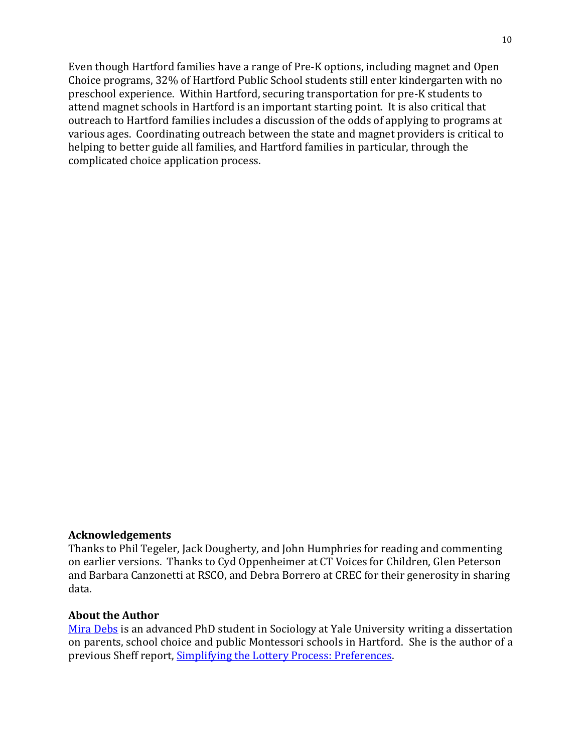Even though Hartford families have a range of Pre-K options, including magnet and Open Choice programs, 32% of Hartford Public School students still enter kindergarten with no preschool experience. Within Hartford, securing transportation for pre-K students to attend magnet schools in Hartford is an important starting point. It is also critical that outreach to Hartford families includes a discussion of the odds of applying to programs at various ages. Coordinating outreach between the state and magnet providers is critical to helping to better guide all families, and Hartford families in particular, through the complicated choice application process.

#### **Acknowledgements**

Thanks to Phil Tegeler, Jack Dougherty, and John Humphries for reading and commenting on earlier versions. Thanks to Cyd Oppenheimer at CT Voices for Children, Glen Peterson and Barbara Canzonetti at RSCO, and Debra Borrero at CREC for their generosity in sharing data.

#### **About the Author**

[Mira Debs](http://sociology.yale.edu/people/mira-debs) is an advanced PhD student in Sociology at Yale University writing a dissertation on parents, school choice and public Montessori schools in Hartford. She is the author of a previous Sheff report, [Simplifying the Lottery Process: Preferences.](http://sheffmovement.org/wp-content/uploads/2014/08/SheffMovementPreferencesReport_August-2014.pdf)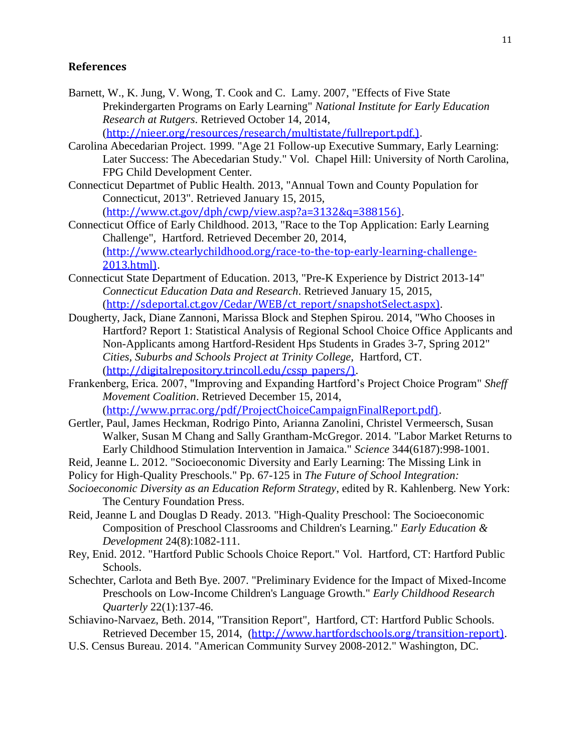#### **References**

- Barnett, W., K. Jung, V. Wong, T. Cook and C. Lamy. 2007, "Effects of Five State Prekindergarten Programs on Early Learning" *National Institute for Early Education Research at Rutgers*. Retrieved October 14, 2014, ([http://nieer.org/resources/research/multistate/fullreport.pdf.\)](http://nieer.org/resources/research/multistate/fullreport.pdf.)).
- Carolina Abecedarian Project. 1999. "Age 21 Follow-up Executive Summary, Early Learning: Later Success: The Abecedarian Study." Vol. Chapel Hill: University of North Carolina, FPG Child Development Center.
- Connecticut Departmet of Public Health. 2013, "Annual Town and County Population for Connecticut, 2013". Retrieved January 15, 2015, ([http://www.ct.gov/dph/cwp/view.asp?a=3132&q=388156\)](http://www.ct.gov/dph/cwp/view.asp?a=3132&q=388156)).
- Connecticut Office of Early Childhood. 2013, "Race to the Top Application: Early Learning Challenge"*,* Hartford. Retrieved December 20, 2014, ([http://www.ctearlychildhood.org/race-to-the-top-early-learning-challenge-](http://www.ctearlychildhood.org/race-to-the-top-early-learning-challenge-2013.html))[2013.html\)](http://www.ctearlychildhood.org/race-to-the-top-early-learning-challenge-2013.html)).
- Connecticut State Department of Education. 2013, "Pre-K Experience by District 2013-14" *Connecticut Education Data and Research*. Retrieved January 15, 2015, ([http://sdeportal.ct.gov/Cedar/WEB/ct\\_report/snapshotSelect.aspx\)](http://sdeportal.ct.gov/Cedar/WEB/ct_report/snapshotSelect.aspx)).
- Dougherty, Jack, Diane Zannoni, Marissa Block and Stephen Spirou. 2014, "Who Chooses in Hartford? Report 1: Statistical Analysis of Regional School Choice Office Applicants and Non-Applicants among Hartford-Resident Hps Students in Grades 3-7, Spring 2012" *Cities, Suburbs and Schools Project at Trinity College,* Hartford, CT. ([http://digitalrepository.trincoll.edu/cssp\\_papers/\)](http://digitalrepository.trincoll.edu/cssp_papers/)).
- Frankenberg, Erica. 2007, "Improving and Expanding Hartford's Project Choice Program" *Sheff Movement Coalition*. Retrieved December 15, 2014, ([http://www.prrac.org/pdf/ProjectChoiceCampaignFinalReport.pdf\)](http://www.prrac.org/pdf/ProjectChoiceCampaignFinalReport.pdf)).
- Gertler, Paul, James Heckman, Rodrigo Pinto, Arianna Zanolini, Christel Vermeersch, Susan Walker, Susan M Chang and Sally Grantham-McGregor. 2014. "Labor Market Returns to Early Childhood Stimulation Intervention in Jamaica." *Science* 344(6187):998-1001.
- Reid, Jeanne L. 2012. "Socioeconomic Diversity and Early Learning: The Missing Link in
- Policy for High-Quality Preschools." Pp. 67-125 in *The Future of School Integration:*
- *Socioeconomic Diversity as an Education Reform Strategy*, edited by R. Kahlenberg. New York: The Century Foundation Press.
- Reid, Jeanne L and Douglas D Ready. 2013. "High-Quality Preschool: The Socioeconomic Composition of Preschool Classrooms and Children's Learning." *Early Education & Development* 24(8):1082-111.
- Rey, Enid. 2012. "Hartford Public Schools Choice Report." Vol. Hartford, CT: Hartford Public Schools.
- Schechter, Carlota and Beth Bye. 2007. "Preliminary Evidence for the Impact of Mixed-Income Preschools on Low-Income Children's Language Growth." *Early Childhood Research Quarterly* 22(1):137-46.
- Schiavino-Narvaez, Beth. 2014, "Transition Report"*,* Hartford, CT: Hartford Public Schools. Retrieved December 15, 2014, ([http://www.hartfordschools.org/transition-report\)](http://www.hartfordschools.org/transition-report)).
- U.S. Census Bureau. 2014. "American Community Survey 2008-2012." Washington, DC.